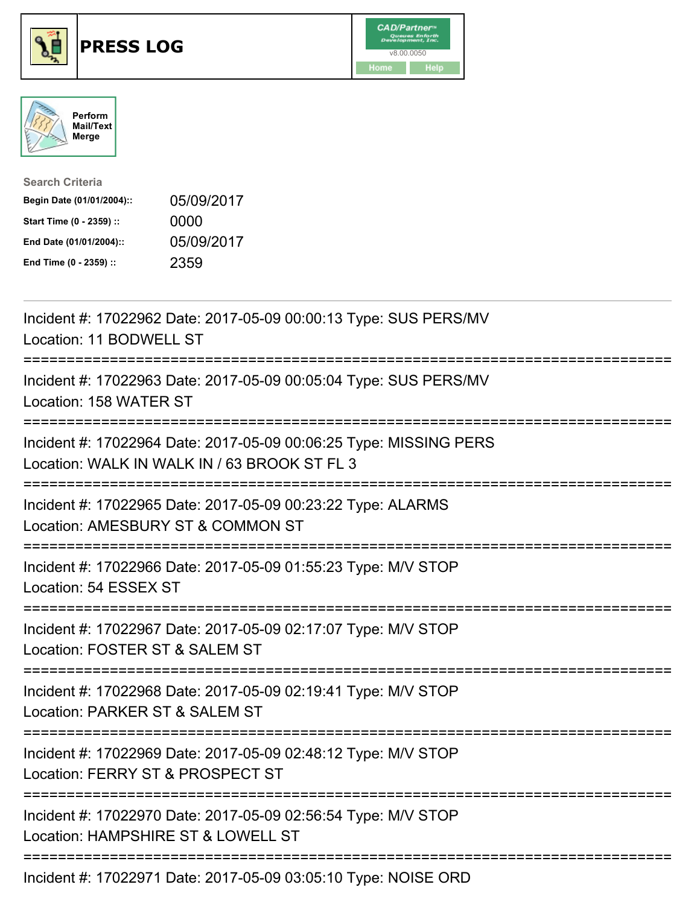





| <b>Search Criteria</b>    |            |
|---------------------------|------------|
| Begin Date (01/01/2004):: | 05/09/2017 |
| Start Time (0 - 2359) ::  | 0000       |
| End Date (01/01/2004)::   | 05/09/2017 |
| End Time (0 - 2359) ::    | 2359       |

| Incident #: 17022962 Date: 2017-05-09 00:00:13 Type: SUS PERS/MV<br>Location: 11 BODWELL ST                                           |
|---------------------------------------------------------------------------------------------------------------------------------------|
| Incident #: 17022963 Date: 2017-05-09 00:05:04 Type: SUS PERS/MV<br>Location: 158 WATER ST                                            |
| Incident #: 17022964 Date: 2017-05-09 00:06:25 Type: MISSING PERS<br>Location: WALK IN WALK IN / 63 BROOK ST FL 3                     |
| Incident #: 17022965 Date: 2017-05-09 00:23:22 Type: ALARMS<br>Location: AMESBURY ST & COMMON ST                                      |
| Incident #: 17022966 Date: 2017-05-09 01:55:23 Type: M/V STOP<br>Location: 54 ESSEX ST                                                |
| Incident #: 17022967 Date: 2017-05-09 02:17:07 Type: M/V STOP<br>Location: FOSTER ST & SALEM ST<br>================================== |
| Incident #: 17022968 Date: 2017-05-09 02:19:41 Type: M/V STOP<br>Location: PARKER ST & SALEM ST                                       |
| Incident #: 17022969 Date: 2017-05-09 02:48:12 Type: M/V STOP<br>Location: FERRY ST & PROSPECT ST                                     |
| Incident #: 17022970 Date: 2017-05-09 02:56:54 Type: M/V STOP<br>Location: HAMPSHIRE ST & LOWELL ST                                   |
|                                                                                                                                       |

Incident #: 17022971 Date: 2017-05-09 03:05:10 Type: NOISE ORD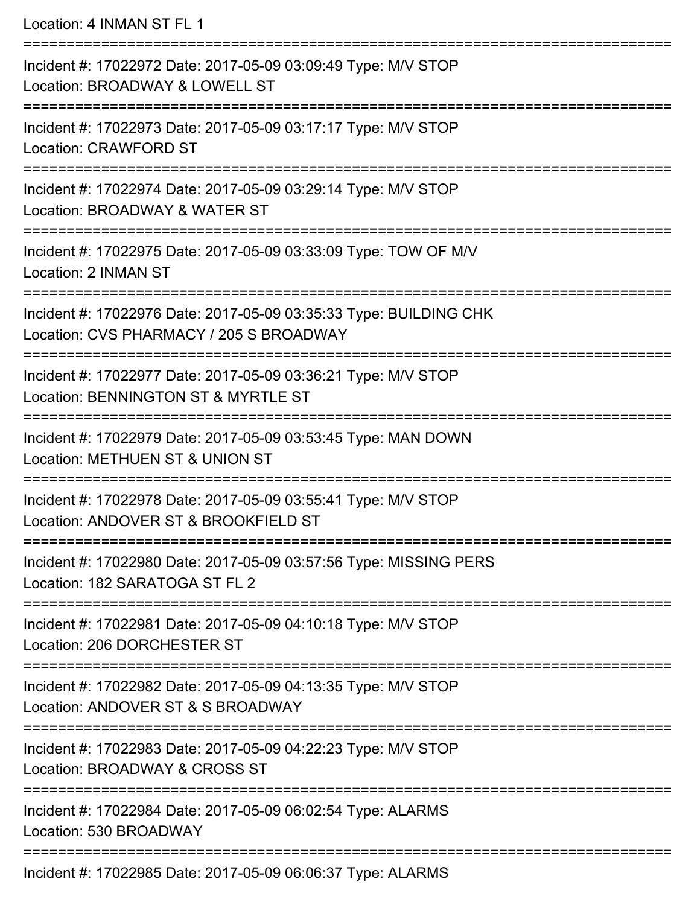Location: 4 INMAN ST FL 1

| Incident #: 17022972 Date: 2017-05-09 03:09:49 Type: M/V STOP<br>Location: BROADWAY & LOWELL ST              |
|--------------------------------------------------------------------------------------------------------------|
| Incident #: 17022973 Date: 2017-05-09 03:17:17 Type: M/V STOP<br><b>Location: CRAWFORD ST</b>                |
| Incident #: 17022974 Date: 2017-05-09 03:29:14 Type: M/V STOP<br>Location: BROADWAY & WATER ST               |
| Incident #: 17022975 Date: 2017-05-09 03:33:09 Type: TOW OF M/V<br>Location: 2 INMAN ST                      |
| Incident #: 17022976 Date: 2017-05-09 03:35:33 Type: BUILDING CHK<br>Location: CVS PHARMACY / 205 S BROADWAY |
| Incident #: 17022977 Date: 2017-05-09 03:36:21 Type: M/V STOP<br>Location: BENNINGTON ST & MYRTLE ST         |
| Incident #: 17022979 Date: 2017-05-09 03:53:45 Type: MAN DOWN<br>Location: METHUEN ST & UNION ST             |
| Incident #: 17022978 Date: 2017-05-09 03:55:41 Type: M/V STOP<br>Location: ANDOVER ST & BROOKFIELD ST        |
| Incident #: 17022980 Date: 2017-05-09 03:57:56 Type: MISSING PERS<br>Location: 182 SARATOGA ST FL 2          |
| Incident #: 17022981 Date: 2017-05-09 04:10:18 Type: M/V STOP<br>Location: 206 DORCHESTER ST                 |
| Incident #: 17022982 Date: 2017-05-09 04:13:35 Type: M/V STOP<br>Location: ANDOVER ST & S BROADWAY           |
| Incident #: 17022983 Date: 2017-05-09 04:22:23 Type: M/V STOP<br>Location: BROADWAY & CROSS ST               |
| Incident #: 17022984 Date: 2017-05-09 06:02:54 Type: ALARMS<br>Location: 530 BROADWAY                        |
| Incident #: 17022985 Date: 2017-05-09 06:06:37 Type: ALARMS                                                  |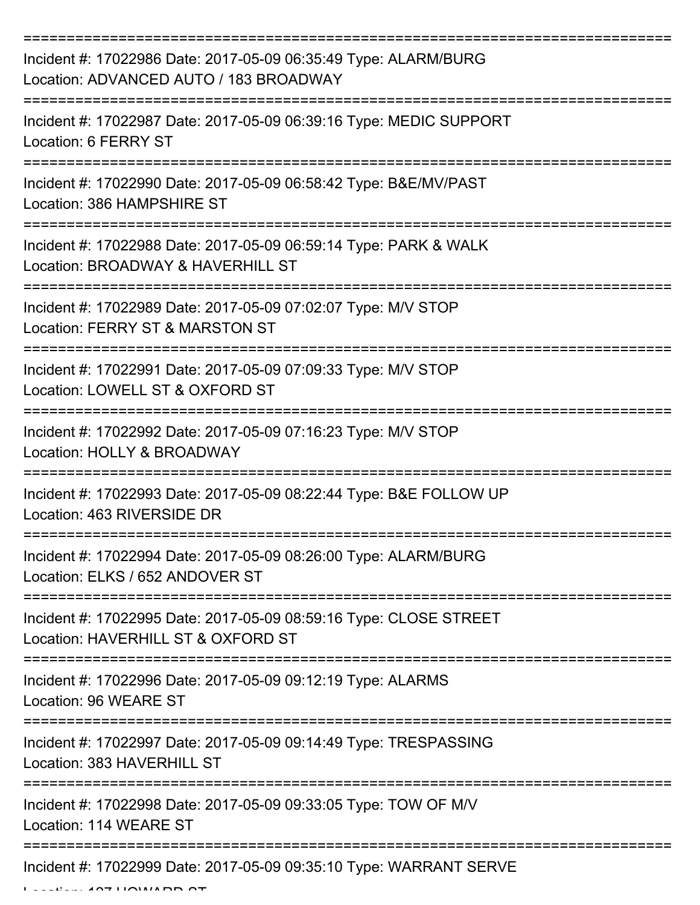| Incident #: 17022986 Date: 2017-05-09 06:35:49 Type: ALARM/BURG<br>Location: ADVANCED AUTO / 183 BROADWAY |
|-----------------------------------------------------------------------------------------------------------|
| Incident #: 17022987 Date: 2017-05-09 06:39:16 Type: MEDIC SUPPORT<br>Location: 6 FERRY ST                |
| Incident #: 17022990 Date: 2017-05-09 06:58:42 Type: B&E/MV/PAST<br>Location: 386 HAMPSHIRE ST            |
| Incident #: 17022988 Date: 2017-05-09 06:59:14 Type: PARK & WALK<br>Location: BROADWAY & HAVERHILL ST     |
| Incident #: 17022989 Date: 2017-05-09 07:02:07 Type: M/V STOP<br>Location: FERRY ST & MARSTON ST          |
| Incident #: 17022991 Date: 2017-05-09 07:09:33 Type: M/V STOP<br>Location: LOWELL ST & OXFORD ST          |
| Incident #: 17022992 Date: 2017-05-09 07:16:23 Type: M/V STOP<br>Location: HOLLY & BROADWAY               |
| Incident #: 17022993 Date: 2017-05-09 08:22:44 Type: B&E FOLLOW UP<br>Location: 463 RIVERSIDE DR          |
| Incident #: 17022994 Date: 2017-05-09 08:26:00 Type: ALARM/BURG<br>Location: ELKS / 652 ANDOVER ST        |
| Incident #: 17022995 Date: 2017-05-09 08:59:16 Type: CLOSE STREET<br>Location: HAVERHILL ST & OXFORD ST   |
| Incident #: 17022996 Date: 2017-05-09 09:12:19 Type: ALARMS<br>Location: 96 WEARE ST                      |
| Incident #: 17022997 Date: 2017-05-09 09:14:49 Type: TRESPASSING<br>Location: 383 HAVERHILL ST            |
| Incident #: 17022998 Date: 2017-05-09 09:33:05 Type: TOW OF M/V<br>Location: 114 WEARE ST                 |
| Incident #: 17022999 Date: 2017-05-09 09:35:10 Type: WARRANT SERVE                                        |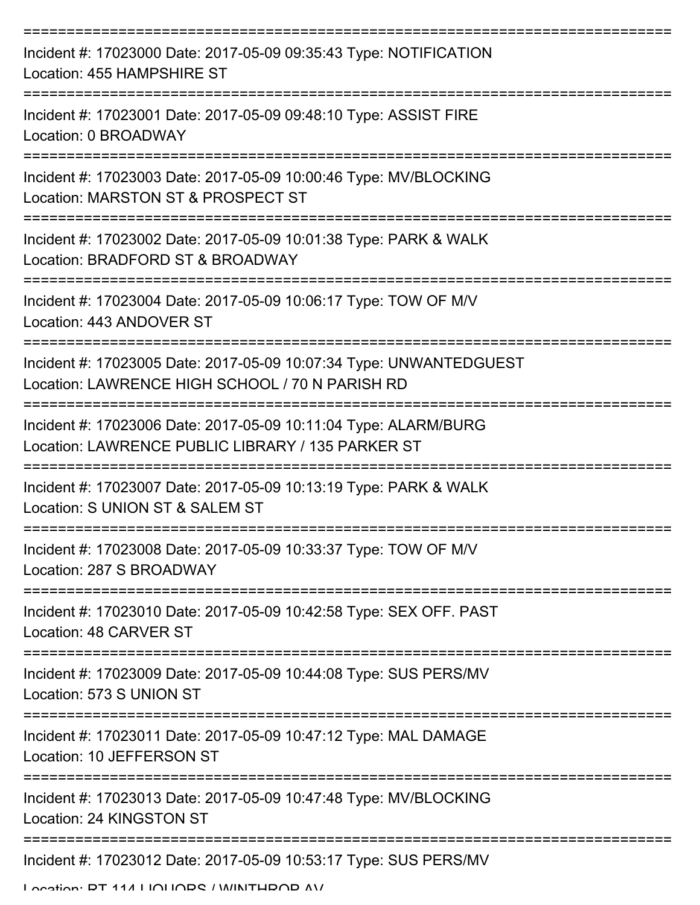| Incident #: 17023000 Date: 2017-05-09 09:35:43 Type: NOTIFICATION<br>Location: 455 HAMPSHIRE ST                       |
|-----------------------------------------------------------------------------------------------------------------------|
| Incident #: 17023001 Date: 2017-05-09 09:48:10 Type: ASSIST FIRE<br>Location: 0 BROADWAY                              |
| Incident #: 17023003 Date: 2017-05-09 10:00:46 Type: MV/BLOCKING<br>Location: MARSTON ST & PROSPECT ST                |
| Incident #: 17023002 Date: 2017-05-09 10:01:38 Type: PARK & WALK<br>Location: BRADFORD ST & BROADWAY                  |
| Incident #: 17023004 Date: 2017-05-09 10:06:17 Type: TOW OF M/V<br>Location: 443 ANDOVER ST                           |
| Incident #: 17023005 Date: 2017-05-09 10:07:34 Type: UNWANTEDGUEST<br>Location: LAWRENCE HIGH SCHOOL / 70 N PARISH RD |
| Incident #: 17023006 Date: 2017-05-09 10:11:04 Type: ALARM/BURG<br>Location: LAWRENCE PUBLIC LIBRARY / 135 PARKER ST  |
| Incident #: 17023007 Date: 2017-05-09 10:13:19 Type: PARK & WALK<br>Location: S UNION ST & SALEM ST                   |
| Incident #: 17023008 Date: 2017-05-09 10:33:37 Type: TOW OF M/V<br>Location: 287 S BROADWAY                           |
| Incident #: 17023010 Date: 2017-05-09 10:42:58 Type: SEX OFF. PAST<br>Location: 48 CARVER ST                          |
| Incident #: 17023009 Date: 2017-05-09 10:44:08 Type: SUS PERS/MV<br>Location: 573 S UNION ST                          |
| Incident #: 17023011 Date: 2017-05-09 10:47:12 Type: MAL DAMAGE<br>Location: 10 JEFFERSON ST                          |
| Incident #: 17023013 Date: 2017-05-09 10:47:48 Type: MV/BLOCKING<br>Location: 24 KINGSTON ST                          |
| Incident #: 17023012 Date: 2017-05-09 10:53:17 Type: SUS PERS/MV                                                      |

Location: DT 114 LIQUOR / WINTHDOD AV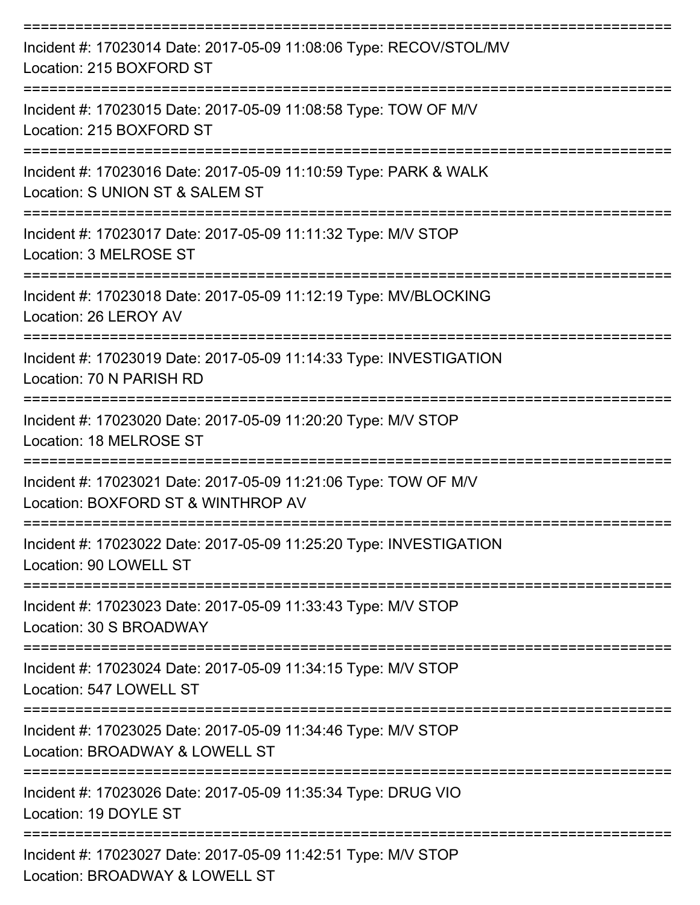| Incident #: 17023014 Date: 2017-05-09 11:08:06 Type: RECOV/STOL/MV<br>Location: 215 BOXFORD ST        |
|-------------------------------------------------------------------------------------------------------|
| Incident #: 17023015 Date: 2017-05-09 11:08:58 Type: TOW OF M/V<br>Location: 215 BOXFORD ST           |
| Incident #: 17023016 Date: 2017-05-09 11:10:59 Type: PARK & WALK<br>Location: S UNION ST & SALEM ST   |
| Incident #: 17023017 Date: 2017-05-09 11:11:32 Type: M/V STOP<br>Location: 3 MELROSE ST               |
| Incident #: 17023018 Date: 2017-05-09 11:12:19 Type: MV/BLOCKING<br>Location: 26 LEROY AV             |
| Incident #: 17023019 Date: 2017-05-09 11:14:33 Type: INVESTIGATION<br>Location: 70 N PARISH RD        |
| Incident #: 17023020 Date: 2017-05-09 11:20:20 Type: M/V STOP<br>Location: 18 MELROSE ST              |
| Incident #: 17023021 Date: 2017-05-09 11:21:06 Type: TOW OF M/V<br>Location: BOXFORD ST & WINTHROP AV |
| Incident #: 17023022 Date: 2017-05-09 11:25:20 Type: INVESTIGATION<br>Location: 90 LOWELL ST          |
| Incident #: 17023023 Date: 2017-05-09 11:33:43 Type: M/V STOP<br>Location: 30 S BROADWAY              |
| Incident #: 17023024 Date: 2017-05-09 11:34:15 Type: M/V STOP<br>Location: 547 LOWELL ST              |
| Incident #: 17023025 Date: 2017-05-09 11:34:46 Type: M/V STOP<br>Location: BROADWAY & LOWELL ST       |
| Incident #: 17023026 Date: 2017-05-09 11:35:34 Type: DRUG VIO<br>Location: 19 DOYLE ST                |
| Incident #: 17023027 Date: 2017-05-09 11:42:51 Type: M/V STOP<br>Location: BROADWAY & LOWELL ST       |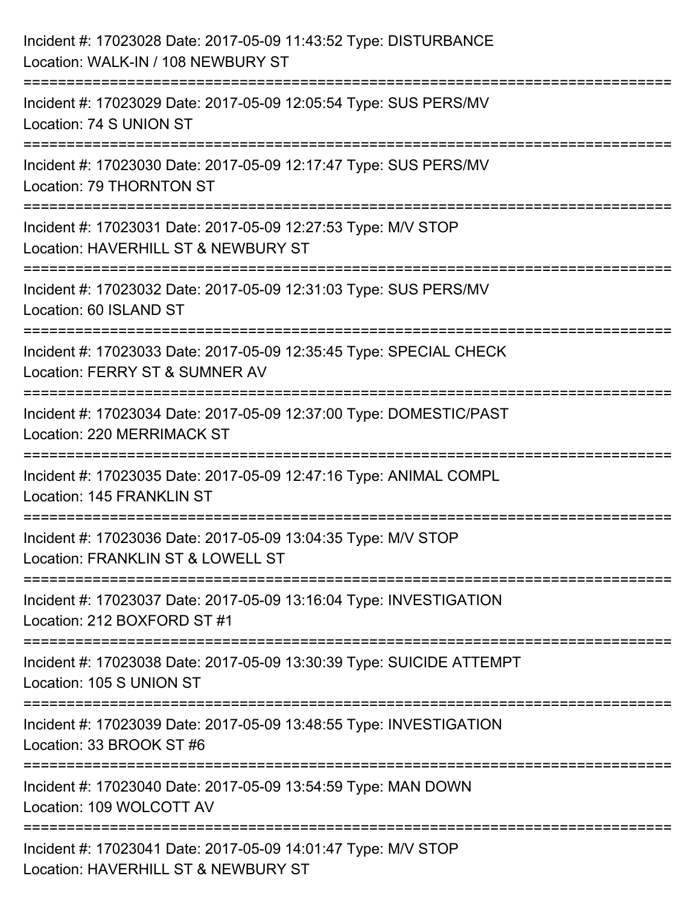| Incident #: 17023028 Date: 2017-05-09 11:43:52 Type: DISTURBANCE<br>Location: WALK-IN / 108 NEWBURY ST                     |
|----------------------------------------------------------------------------------------------------------------------------|
| :=====================<br>Incident #: 17023029 Date: 2017-05-09 12:05:54 Type: SUS PERS/MV<br>Location: 74 S UNION ST      |
| Incident #: 17023030 Date: 2017-05-09 12:17:47 Type: SUS PERS/MV<br>Location: 79 THORNTON ST                               |
| Incident #: 17023031 Date: 2017-05-09 12:27:53 Type: M/V STOP<br>Location: HAVERHILL ST & NEWBURY ST                       |
| Incident #: 17023032 Date: 2017-05-09 12:31:03 Type: SUS PERS/MV<br>Location: 60 ISLAND ST<br>============================ |
| Incident #: 17023033 Date: 2017-05-09 12:35:45 Type: SPECIAL CHECK<br>Location: FERRY ST & SUMNER AV                       |
| Incident #: 17023034 Date: 2017-05-09 12:37:00 Type: DOMESTIC/PAST<br><b>Location: 220 MERRIMACK ST</b>                    |
| Incident #: 17023035 Date: 2017-05-09 12:47:16 Type: ANIMAL COMPL<br><b>Location: 145 FRANKLIN ST</b>                      |
| Incident #: 17023036 Date: 2017-05-09 13:04:35 Type: M/V STOP<br>Location: FRANKLIN ST & LOWELL ST                         |
| Incident #: 17023037 Date: 2017-05-09 13:16:04 Type: INVESTIGATION<br>Location: 212 BOXFORD ST #1                          |
| Incident #: 17023038 Date: 2017-05-09 13:30:39 Type: SUICIDE ATTEMPT<br>Location: 105 S UNION ST                           |
| Incident #: 17023039 Date: 2017-05-09 13:48:55 Type: INVESTIGATION<br>Location: 33 BROOK ST #6                             |
| Incident #: 17023040 Date: 2017-05-09 13:54:59 Type: MAN DOWN<br>Location: 109 WOLCOTT AV                                  |
| Incident #: 17023041 Date: 2017-05-09 14:01:47 Type: M/V STOP<br>Location: HAVERHILL ST & NEWBURY ST                       |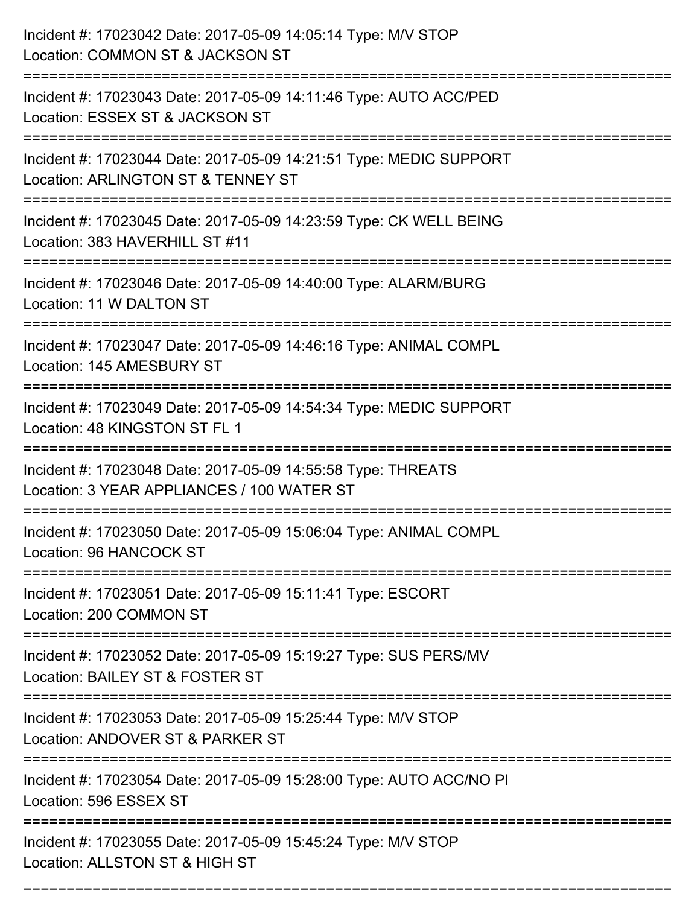| Incident #: 17023042 Date: 2017-05-09 14:05:14 Type: M/V STOP<br>Location: COMMON ST & JACKSON ST          |
|------------------------------------------------------------------------------------------------------------|
| Incident #: 17023043 Date: 2017-05-09 14:11:46 Type: AUTO ACC/PED<br>Location: ESSEX ST & JACKSON ST       |
| Incident #: 17023044 Date: 2017-05-09 14:21:51 Type: MEDIC SUPPORT<br>Location: ARLINGTON ST & TENNEY ST   |
| Incident #: 17023045 Date: 2017-05-09 14:23:59 Type: CK WELL BEING<br>Location: 383 HAVERHILL ST #11       |
| Incident #: 17023046 Date: 2017-05-09 14:40:00 Type: ALARM/BURG<br>Location: 11 W DALTON ST                |
| Incident #: 17023047 Date: 2017-05-09 14:46:16 Type: ANIMAL COMPL<br>Location: 145 AMESBURY ST             |
| Incident #: 17023049 Date: 2017-05-09 14:54:34 Type: MEDIC SUPPORT<br>Location: 48 KINGSTON ST FL 1        |
| Incident #: 17023048 Date: 2017-05-09 14:55:58 Type: THREATS<br>Location: 3 YEAR APPLIANCES / 100 WATER ST |
| Incident #: 17023050 Date: 2017-05-09 15:06:04 Type: ANIMAL COMPL<br>Location: 96 HANCOCK ST               |
| Incident #: 17023051 Date: 2017-05-09 15:11:41 Type: ESCORT<br>Location: 200 COMMON ST                     |
| Incident #: 17023052 Date: 2017-05-09 15:19:27 Type: SUS PERS/MV<br>Location: BAILEY ST & FOSTER ST        |
| Incident #: 17023053 Date: 2017-05-09 15:25:44 Type: M/V STOP<br>Location: ANDOVER ST & PARKER ST          |
| Incident #: 17023054 Date: 2017-05-09 15:28:00 Type: AUTO ACC/NO PI<br>Location: 596 ESSEX ST              |
| Incident #: 17023055 Date: 2017-05-09 15:45:24 Type: M/V STOP<br>Location: ALLSTON ST & HIGH ST            |

===========================================================================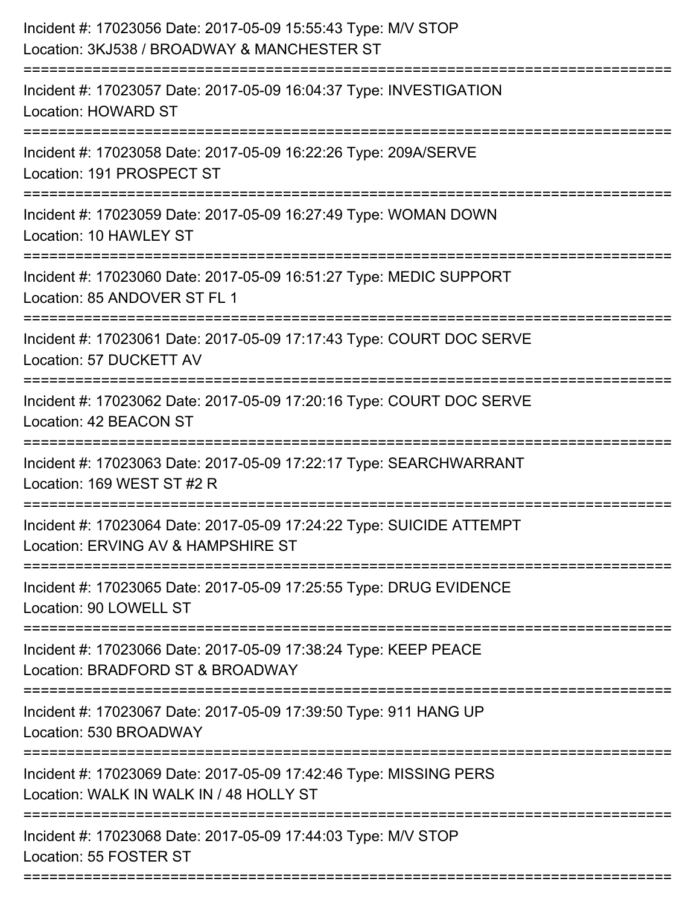| Incident #: 17023056 Date: 2017-05-09 15:55:43 Type: M/V STOP<br>Location: 3KJ538 / BROADWAY & MANCHESTER ST |
|--------------------------------------------------------------------------------------------------------------|
| Incident #: 17023057 Date: 2017-05-09 16:04:37 Type: INVESTIGATION<br><b>Location: HOWARD ST</b>             |
| Incident #: 17023058 Date: 2017-05-09 16:22:26 Type: 209A/SERVE<br>Location: 191 PROSPECT ST                 |
| Incident #: 17023059 Date: 2017-05-09 16:27:49 Type: WOMAN DOWN<br>Location: 10 HAWLEY ST                    |
| Incident #: 17023060 Date: 2017-05-09 16:51:27 Type: MEDIC SUPPORT<br>Location: 85 ANDOVER ST FL 1           |
| Incident #: 17023061 Date: 2017-05-09 17:17:43 Type: COURT DOC SERVE<br>Location: 57 DUCKETT AV              |
| Incident #: 17023062 Date: 2017-05-09 17:20:16 Type: COURT DOC SERVE<br>Location: 42 BEACON ST               |
| Incident #: 17023063 Date: 2017-05-09 17:22:17 Type: SEARCHWARRANT<br>Location: 169 WEST ST #2 R             |
| Incident #: 17023064 Date: 2017-05-09 17:24:22 Type: SUICIDE ATTEMPT<br>Location: ERVING AV & HAMPSHIRE ST   |
| Incident #: 17023065 Date: 2017-05-09 17:25:55 Type: DRUG EVIDENCE<br>Location: 90 LOWELL ST                 |
| Incident #: 17023066 Date: 2017-05-09 17:38:24 Type: KEEP PEACE<br>Location: BRADFORD ST & BROADWAY          |
| Incident #: 17023067 Date: 2017-05-09 17:39:50 Type: 911 HANG UP<br>Location: 530 BROADWAY                   |
| Incident #: 17023069 Date: 2017-05-09 17:42:46 Type: MISSING PERS<br>Location: WALK IN WALK IN / 48 HOLLY ST |
| Incident #: 17023068 Date: 2017-05-09 17:44:03 Type: M/V STOP<br>Location: 55 FOSTER ST                      |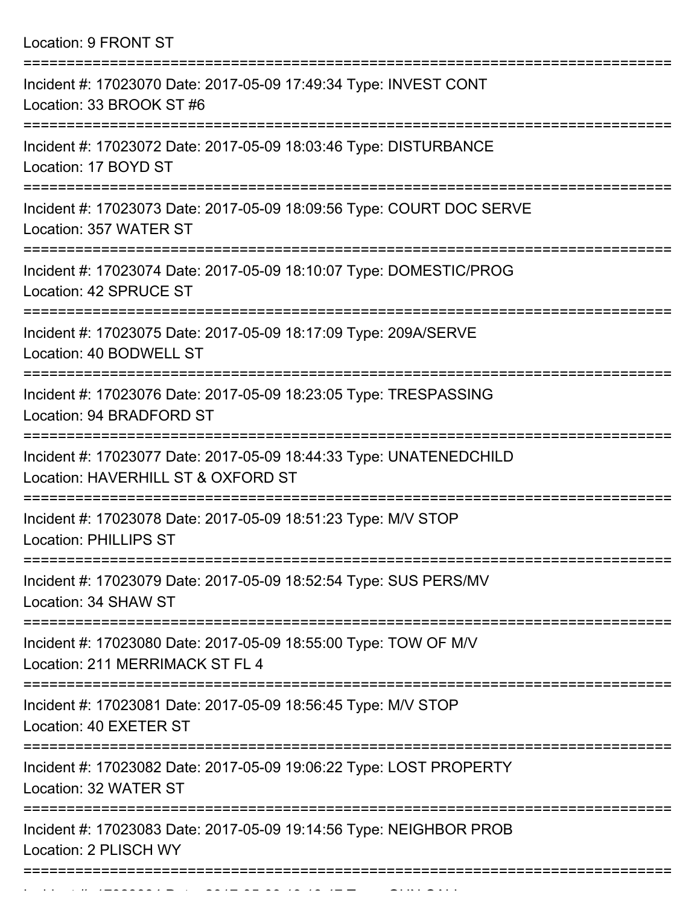| Location: 9 FRONT ST |  |  |  |
|----------------------|--|--|--|
|----------------------|--|--|--|

| Incident #: 17023070 Date: 2017-05-09 17:49:34 Type: INVEST CONT<br>Location: 33 BROOK ST #6             |
|----------------------------------------------------------------------------------------------------------|
| Incident #: 17023072 Date: 2017-05-09 18:03:46 Type: DISTURBANCE<br>Location: 17 BOYD ST                 |
| Incident #: 17023073 Date: 2017-05-09 18:09:56 Type: COURT DOC SERVE<br>Location: 357 WATER ST           |
| Incident #: 17023074 Date: 2017-05-09 18:10:07 Type: DOMESTIC/PROG<br>Location: 42 SPRUCE ST             |
| Incident #: 17023075 Date: 2017-05-09 18:17:09 Type: 209A/SERVE<br>Location: 40 BODWELL ST               |
| Incident #: 17023076 Date: 2017-05-09 18:23:05 Type: TRESPASSING<br>Location: 94 BRADFORD ST             |
| Incident #: 17023077 Date: 2017-05-09 18:44:33 Type: UNATENEDCHILD<br>Location: HAVERHILL ST & OXFORD ST |
| Incident #: 17023078 Date: 2017-05-09 18:51:23 Type: M/V STOP<br><b>Location: PHILLIPS ST</b>            |
| Incident #: 17023079 Date: 2017-05-09 18:52:54 Type: SUS PERS/MV<br>Location: 34 SHAW ST                 |
| Incident #: 17023080 Date: 2017-05-09 18:55:00 Type: TOW OF M/V<br>Location: 211 MERRIMACK ST FL 4       |
| Incident #: 17023081 Date: 2017-05-09 18:56:45 Type: M/V STOP<br>Location: 40 EXETER ST                  |
| Incident #: 17023082 Date: 2017-05-09 19:06:22 Type: LOST PROPERTY<br>Location: 32 WATER ST              |
| Incident #: 17023083 Date: 2017-05-09 19:14:56 Type: NEIGHBOR PROB<br>Location: 2 PLISCH WY              |
|                                                                                                          |

Incident #: 17023084 Date: 2017 05 09 19:18:47 Type: GUN CALL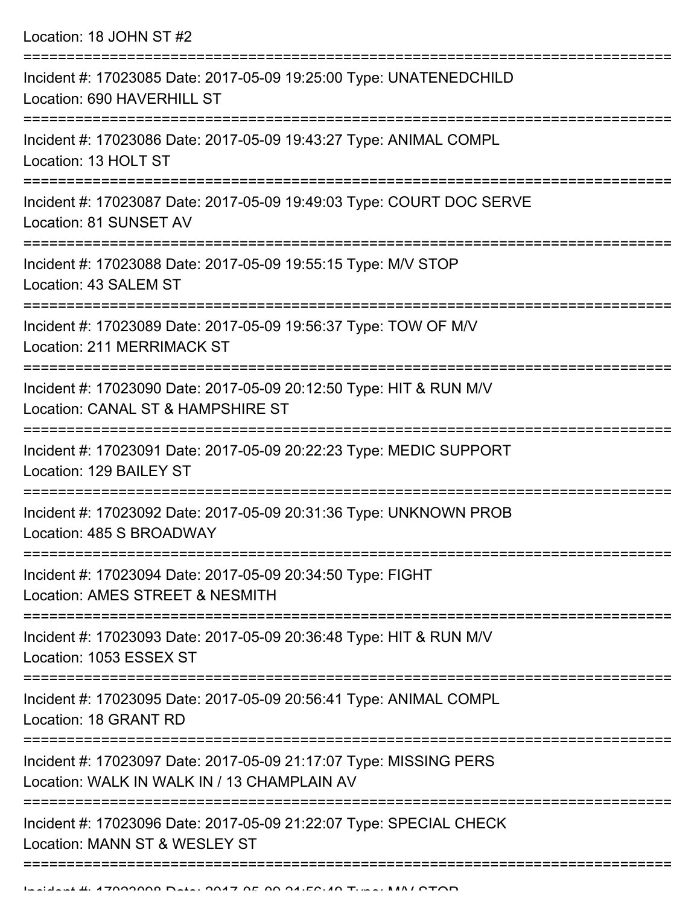| Location: 18 JOHN ST #2 |  |  |  |
|-------------------------|--|--|--|
|-------------------------|--|--|--|

| Incident #: 17023085 Date: 2017-05-09 19:25:00 Type: UNATENEDCHILD<br>Location: 690 HAVERHILL ST                                                   |
|----------------------------------------------------------------------------------------------------------------------------------------------------|
| Incident #: 17023086 Date: 2017-05-09 19:43:27 Type: ANIMAL COMPL<br>Location: 13 HOLT ST                                                          |
| Incident #: 17023087 Date: 2017-05-09 19:49:03 Type: COURT DOC SERVE<br>Location: 81 SUNSET AV                                                     |
| Incident #: 17023088 Date: 2017-05-09 19:55:15 Type: M/V STOP<br>Location: 43 SALEM ST                                                             |
| Incident #: 17023089 Date: 2017-05-09 19:56:37 Type: TOW OF M/V<br><b>Location: 211 MERRIMACK ST</b>                                               |
| Incident #: 17023090 Date: 2017-05-09 20:12:50 Type: HIT & RUN M/V<br>Location: CANAL ST & HAMPSHIRE ST                                            |
| Incident #: 17023091 Date: 2017-05-09 20:22:23 Type: MEDIC SUPPORT<br>Location: 129 BAILEY ST                                                      |
| Incident #: 17023092 Date: 2017-05-09 20:31:36 Type: UNKNOWN PROB<br>Location: 485 S BROADWAY                                                      |
| Incident #: 17023094 Date: 2017-05-09 20:34:50 Type: FIGHT<br>Location: AMES STREET & NESMITH                                                      |
| Incident #: 17023093 Date: 2017-05-09 20:36:48 Type: HIT & RUN M/V<br>Location: 1053 ESSEX ST                                                      |
| Incident #: 17023095 Date: 2017-05-09 20:56:41 Type: ANIMAL COMPL<br>Location: 18 GRANT RD                                                         |
| ------------------------------<br>Incident #: 17023097 Date: 2017-05-09 21:17:07 Type: MISSING PERS<br>Location: WALK IN WALK IN / 13 CHAMPLAIN AV |
| Incident #: 17023096 Date: 2017-05-09 21:22:07 Type: SPECIAL CHECK<br>Location: MANN ST & WESLEY ST                                                |
|                                                                                                                                                    |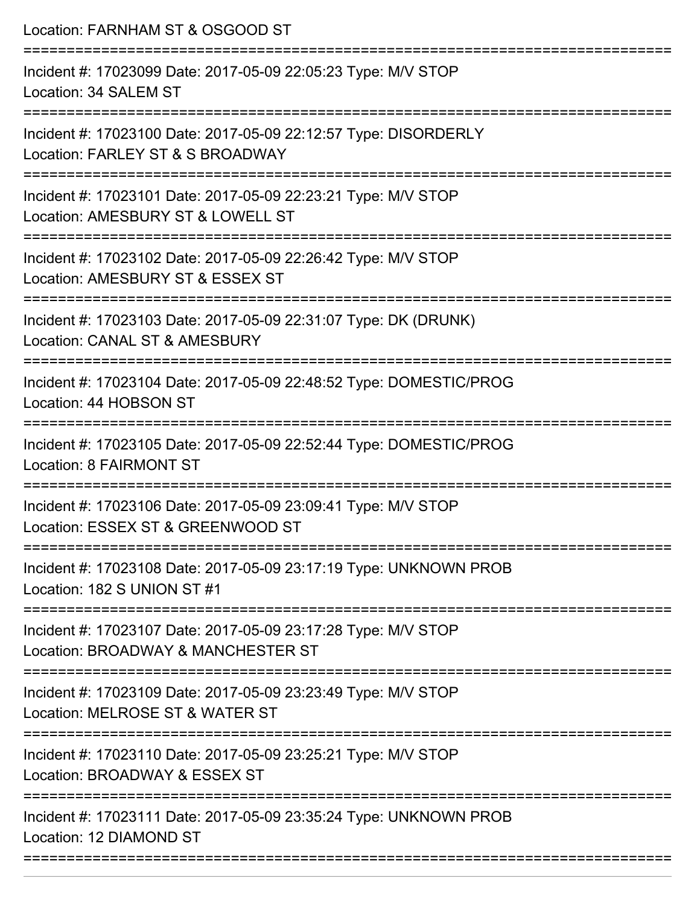| Location: FARNHAM ST & OSGOOD ST                                                                     |
|------------------------------------------------------------------------------------------------------|
| Incident #: 17023099 Date: 2017-05-09 22:05:23 Type: M/V STOP<br>Location: 34 SALEM ST               |
| Incident #: 17023100 Date: 2017-05-09 22:12:57 Type: DISORDERLY<br>Location: FARLEY ST & S BROADWAY  |
| Incident #: 17023101 Date: 2017-05-09 22:23:21 Type: M/V STOP<br>Location: AMESBURY ST & LOWELL ST   |
| Incident #: 17023102 Date: 2017-05-09 22:26:42 Type: M/V STOP<br>Location: AMESBURY ST & ESSEX ST    |
| Incident #: 17023103 Date: 2017-05-09 22:31:07 Type: DK (DRUNK)<br>Location: CANAL ST & AMESBURY     |
| Incident #: 17023104 Date: 2017-05-09 22:48:52 Type: DOMESTIC/PROG<br>Location: 44 HOBSON ST         |
| Incident #: 17023105 Date: 2017-05-09 22:52:44 Type: DOMESTIC/PROG<br><b>Location: 8 FAIRMONT ST</b> |
| Incident #: 17023106 Date: 2017-05-09 23:09:41 Type: M/V STOP<br>Location: ESSEX ST & GREENWOOD ST   |
| Incident #: 17023108 Date: 2017-05-09 23:17:19 Type: UNKNOWN PROB<br>Location: 182 S UNION ST #1     |
| Incident #: 17023107 Date: 2017-05-09 23:17:28 Type: M/V STOP<br>Location: BROADWAY & MANCHESTER ST  |
| Incident #: 17023109 Date: 2017-05-09 23:23:49 Type: M/V STOP<br>Location: MELROSE ST & WATER ST     |
| Incident #: 17023110 Date: 2017-05-09 23:25:21 Type: M/V STOP<br>Location: BROADWAY & ESSEX ST       |
| Incident #: 17023111 Date: 2017-05-09 23:35:24 Type: UNKNOWN PROB<br>Location: 12 DIAMOND ST         |